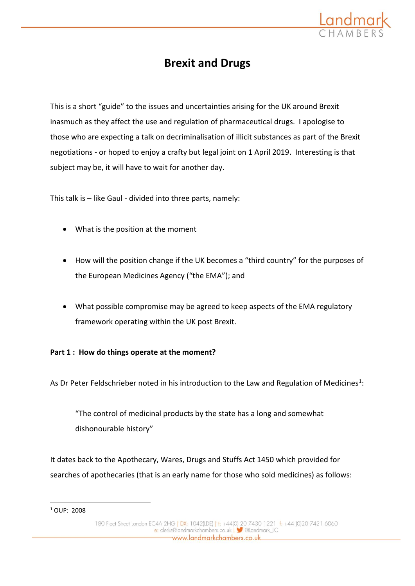

## **Brexit and Drugs**

This is a short "guide" to the issues and uncertainties arising for the UK around Brexit inasmuch as they affect the use and regulation of pharmaceutical drugs. I apologise to those who are expecting a talk on decriminalisation of illicit substances as part of the Brexit negotiations - or hoped to enjoy a crafty but legal joint on 1 April 2019. Interesting is that subject may be, it will have to wait for another day.

This talk is – like Gaul - divided into three parts, namely:

- What is the position at the moment
- How will the position change if the UK becomes a "third country" for the purposes of the European Medicines Agency ("the EMA"); and
- What possible compromise may be agreed to keep aspects of the EMA regulatory framework operating within the UK post Brexit.

## **Part 1 : How do things operate at the moment?**

As Dr Peter Feldschrieber noted in his introduction to the Law and Regulation of Medicines<sup>1</sup>:

"The control of medicinal products by the state has a long and somewhat dishonourable history"

It dates back to the Apothecary, Wares, Drugs and Stuffs Act 1450 which provided for searches of apothecaries (that is an early name for those who sold medicines) as follows:

<u>.</u>

<sup>1</sup> OUP: 2008

<sup>180</sup> Fleet Street London EC4A 2HG | DX: 1042(LDE) | t: +44(0) 20 7430 1221 | f: +44 (0)20 7421 6060 e: clerks@landmarkchambers.co.uk | 3 @Landmark\_IC www.landmarkchambers.co.uk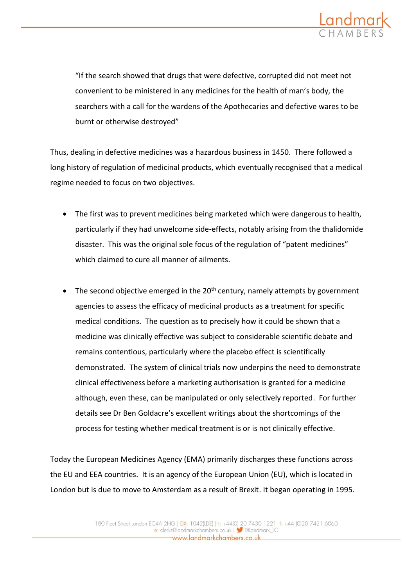

"If the search showed that drugs that were defective, corrupted did not meet not convenient to be ministered in any medicines for the health of man's body, the searchers with a call for the wardens of the Apothecaries and defective wares to be burnt or otherwise destroyed"

Thus, dealing in defective medicines was a hazardous business in 1450. There followed a long history of regulation of medicinal products, which eventually recognised that a medical regime needed to focus on two objectives.

- The first was to prevent medicines being marketed which were dangerous to health, particularly if they had unwelcome side-effects, notably arising from the thalidomide disaster. This was the original sole focus of the regulation of "patent medicines" which claimed to cure all manner of ailments.
- The second objective emerged in the 20<sup>th</sup> century, namely attempts by government agencies to assess the efficacy of medicinal products as **a** treatment for specific medical conditions. The question as to precisely how it could be shown that a medicine was clinically effective was subject to considerable scientific debate and remains contentious, particularly where the placebo effect is scientifically demonstrated. The system of clinical trials now underpins the need to demonstrate clinical effectiveness before a marketing authorisation is granted for a medicine although, even these, can be manipulated or only selectively reported. For further details see Dr Ben Goldacre's excellent writings about the shortcomings of the process for testing whether medical treatment is or is not clinically effective.

Today the European Medicines Agency (EMA) primarily discharges these functions across the EU and EEA countries. It is an agency of the European Union (EU), which is located in London but is due to move to Amsterdam as a result of Brexit. It began operating in 1995.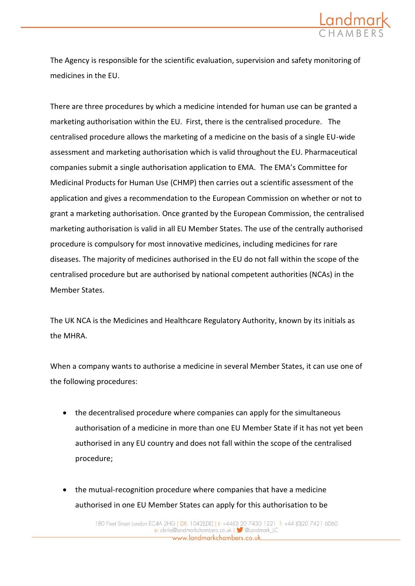

The Agency is responsible for the scientific evaluation, supervision and safety monitoring of medicines in the EU.

There are three procedures by which a medicine intended for human use can be granted a marketing authorisation within the EU. First, there is the centralised procedure. The centralised procedure allows the marketing of a medicine on the basis of a single EU-wide assessment and marketing authorisation which is valid throughout the EU. Pharmaceutical companies submit a single authorisation application to EMA. The EMA's Committee for Medicinal Products for Human Use (CHMP) then carries out a scientific assessment of the application and gives a recommendation to the European Commission on whether or not to grant a marketing authorisation. Once granted by the European Commission, the centralised marketing authorisation is valid in all EU Member States. The use of the centrally authorised procedure is compulsory for most innovative medicines, including medicines for rare diseases. The majority of medicines authorised in the EU do not fall within the scope of the centralised procedure but are authorised by national competent authorities (NCAs) in the Member States.

The UK NCA is the Medicines and Healthcare Regulatory Authority, known by its initials as the MHRA.

When a company wants to authorise a medicine in several Member States, it can use one of the following procedures:

- the decentralised procedure where companies can apply for the simultaneous authorisation of a medicine in more than one EU Member State if it has not yet been authorised in any EU country and does not fall within the scope of the centralised procedure;
- the mutual-recognition procedure where companies that have a medicine authorised in one EU Member States can apply for this authorisation to be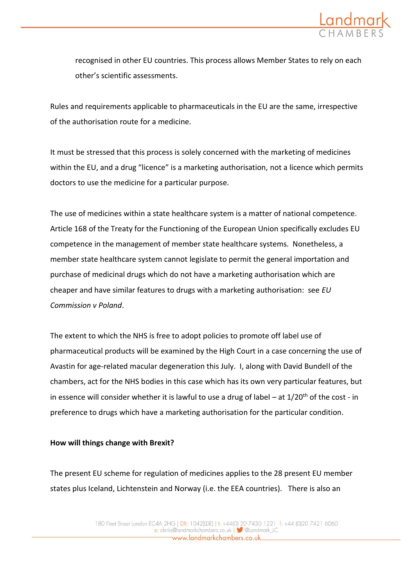

recognised in other EU countries. This process allows Member States to rely on each other's scientific assessments.

Rules and requirements applicable to pharmaceuticals in the EU are the same, irrespective of the authorisation route for a medicine.

It must be stressed that this process is solely concerned with the marketing of medicines within the EU, and a drug "licence" is a marketing authorisation, not a licence which permits doctors to use the medicine for a particular purpose.

The use of medicines within a state healthcare system is a matter of national competence. Article 168 of the Treaty for the Functioning of the European Union specifically excludes EU competence in the management of member state healthcare systems. Nonetheless, a member state healthcare system cannot legislate to permit the general importation and purchase of medicinal drugs which do not have a marketing authorisation which are cheaper and have similar features to drugs with a marketing authorisation: see *EU Commission v Poland*.

The extent to which the NHS is free to adopt policies to promote off label use of pharmaceutical products will be examined by the High Court in a case concerning the use of Avastin for age-related macular degeneration this July. I, along with David Bundell of the chambers, act for the NHS bodies in this case which has its own very particular features, but in essence will consider whether it is lawful to use a drug of label – at  $1/20<sup>th</sup>$  of the cost - in preference to drugs which have a marketing authorisation for the particular condition.

## **How will things change with Brexit?**

The present EU scheme for regulation of medicines applies to the 28 present EU member states plus Iceland, Lichtenstein and Norway (i.e. the EEA countries). There is also an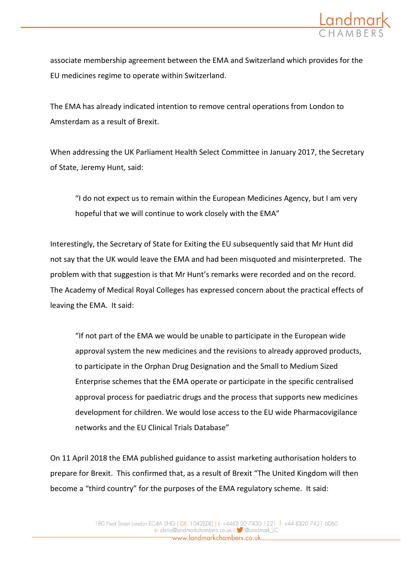

associate membership agreement between the EMA and Switzerland which provides for the EU medicines regime to operate within Switzerland.

The EMA has already indicated intention to remove central operations from London to Amsterdam as a result of Brexit.

When addressing the UK Parliament Health Select Committee in January 2017, the Secretary of State, Jeremy Hunt, said:

"I do not expect us to remain within the European Medicines Agency, but I am very hopeful that we will continue to work closely with the EMA"

Interestingly, the Secretary of State for Exiting the EU subsequently said that Mr Hunt did not say that the UK would leave the EMA and had been misquoted and misinterpreted. The problem with that suggestion is that Mr Hunt's remarks were recorded and on the record. The Academy of Medical Royal Colleges has expressed concern about the practical effects of leaving the EMA. It said:

"If not part of the EMA we would be unable to participate in the European wide approval system the new medicines and the revisions to already approved products, to participate in the Orphan Drug Designation and the Small to Medium Sized Enterprise schemes that the EMA operate or participate in the specific centralised approval process for paediatric drugs and the process that supports new medicines development for children. We would lose access to the EU wide Pharmacovigilance networks and the EU Clinical Trials Database"

On 11 April 2018 the EMA published guidance to assist marketing authorisation holders to prepare for Brexit. This confirmed that, as a result of Brexit "The United Kingdom will then become a "third country" for the purposes of the EMA regulatory scheme. It said: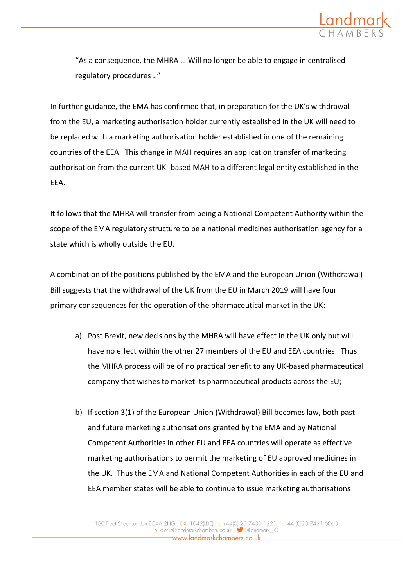

"As a consequence, the MHRA … Will no longer be able to engage in centralised regulatory procedures .."

In further guidance, the EMA has confirmed that, in preparation for the UK's withdrawal from the EU, a marketing authorisation holder currently established in the UK will need to be replaced with a marketing authorisation holder established in one of the remaining countries of the EEA. This change in MAH requires an application transfer of marketing authorisation from the current UK- based MAH to a different legal entity established in the EEA.

It follows that the MHRA will transfer from being a National Competent Authority within the scope of the EMA regulatory structure to be a national medicines authorisation agency for a state which is wholly outside the EU.

A combination of the positions published by the EMA and the European Union (Withdrawal) Bill suggests that the withdrawal of the UK from the EU in March 2019 will have four primary consequences for the operation of the pharmaceutical market in the UK:

- a) Post Brexit, new decisions by the MHRA will have effect in the UK only but will have no effect within the other 27 members of the EU and EEA countries. Thus the MHRA process will be of no practical benefit to any UK-based pharmaceutical company that wishes to market its pharmaceutical products across the EU;
- b) If section 3(1) of the European Union (Withdrawal) Bill becomes law, both past and future marketing authorisations granted by the EMA and by National Competent Authorities in other EU and EEA countries will operate as effective marketing authorisations to permit the marketing of EU approved medicines in the UK. Thus the EMA and National Competent Authorities in each of the EU and EEA member states will be able to continue to issue marketing authorisations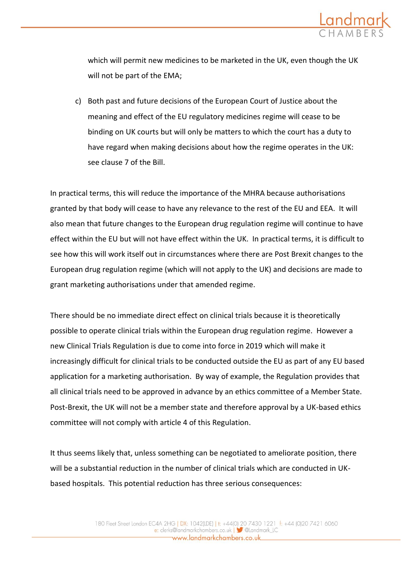

which will permit new medicines to be marketed in the UK, even though the UK will not be part of the EMA;

c) Both past and future decisions of the European Court of Justice about the meaning and effect of the EU regulatory medicines regime will cease to be binding on UK courts but will only be matters to which the court has a duty to have regard when making decisions about how the regime operates in the UK: see clause 7 of the Bill.

In practical terms, this will reduce the importance of the MHRA because authorisations granted by that body will cease to have any relevance to the rest of the EU and EEA. It will also mean that future changes to the European drug regulation regime will continue to have effect within the EU but will not have effect within the UK. In practical terms, it is difficult to see how this will work itself out in circumstances where there are Post Brexit changes to the European drug regulation regime (which will not apply to the UK) and decisions are made to grant marketing authorisations under that amended regime.

There should be no immediate direct effect on clinical trials because it is theoretically possible to operate clinical trials within the European drug regulation regime. However a new Clinical Trials Regulation is due to come into force in 2019 which will make it increasingly difficult for clinical trials to be conducted outside the EU as part of any EU based application for a marketing authorisation. By way of example, the Regulation provides that all clinical trials need to be approved in advance by an ethics committee of a Member State. Post-Brexit, the UK will not be a member state and therefore approval by a UK-based ethics committee will not comply with article 4 of this Regulation.

It thus seems likely that, unless something can be negotiated to ameliorate position, there will be a substantial reduction in the number of clinical trials which are conducted in UKbased hospitals. This potential reduction has three serious consequences: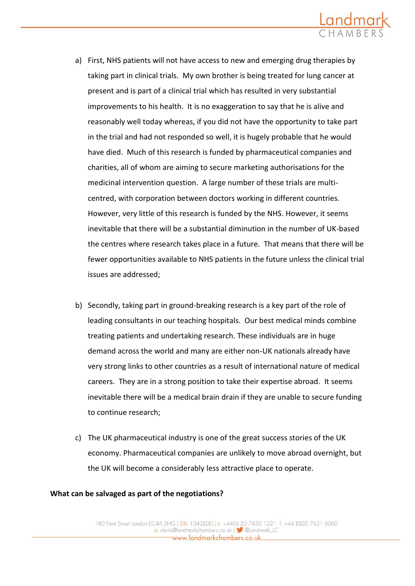

- a) First, NHS patients will not have access to new and emerging drug therapies by taking part in clinical trials. My own brother is being treated for lung cancer at present and is part of a clinical trial which has resulted in very substantial improvements to his health. It is no exaggeration to say that he is alive and reasonably well today whereas, if you did not have the opportunity to take part in the trial and had not responded so well, it is hugely probable that he would have died. Much of this research is funded by pharmaceutical companies and charities, all of whom are aiming to secure marketing authorisations for the medicinal intervention question. A large number of these trials are multicentred, with corporation between doctors working in different countries. However, very little of this research is funded by the NHS. However, it seems inevitable that there will be a substantial diminution in the number of UK-based the centres where research takes place in a future. That means that there will be fewer opportunities available to NHS patients in the future unless the clinical trial issues are addressed;
- b) Secondly, taking part in ground-breaking research is a key part of the role of leading consultants in our teaching hospitals. Our best medical minds combine treating patients and undertaking research. These individuals are in huge demand across the world and many are either non-UK nationals already have very strong links to other countries as a result of international nature of medical careers. They are in a strong position to take their expertise abroad. It seems inevitable there will be a medical brain drain if they are unable to secure funding to continue research;
- c) The UK pharmaceutical industry is one of the great success stories of the UK economy. Pharmaceutical companies are unlikely to move abroad overnight, but the UK will become a considerably less attractive place to operate.

## **What can be salvaged as part of the negotiations?**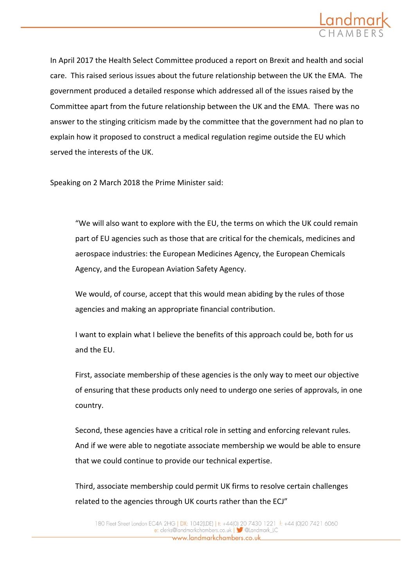

In April 2017 the Health Select Committee produced a report on Brexit and health and social care. This raised serious issues about the future relationship between the UK the EMA. The government produced a detailed response which addressed all of the issues raised by the Committee apart from the future relationship between the UK and the EMA. There was no answer to the stinging criticism made by the committee that the government had no plan to explain how it proposed to construct a medical regulation regime outside the EU which served the interests of the UK.

Speaking on 2 March 2018 the Prime Minister said:

"We will also want to explore with the EU, the terms on which the UK could remain part of EU agencies such as those that are critical for the chemicals, medicines and aerospace industries: the European Medicines Agency, the European Chemicals Agency, and the European Aviation Safety Agency.

We would, of course, accept that this would mean abiding by the rules of those agencies and making an appropriate financial contribution.

I want to explain what I believe the benefits of this approach could be, both for us and the EU.

First, associate membership of these agencies is the only way to meet our objective of ensuring that these products only need to undergo one series of approvals, in one country.

Second, these agencies have a critical role in setting and enforcing relevant rules. And if we were able to negotiate associate membership we would be able to ensure that we could continue to provide our technical expertise.

Third, associate membership could permit UK firms to resolve certain challenges related to the agencies through UK courts rather than the ECJ"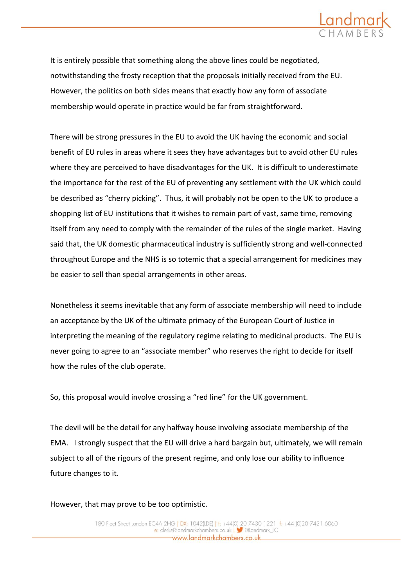

It is entirely possible that something along the above lines could be negotiated, notwithstanding the frosty reception that the proposals initially received from the EU. However, the politics on both sides means that exactly how any form of associate membership would operate in practice would be far from straightforward.

There will be strong pressures in the EU to avoid the UK having the economic and social benefit of EU rules in areas where it sees they have advantages but to avoid other EU rules where they are perceived to have disadvantages for the UK. It is difficult to underestimate the importance for the rest of the EU of preventing any settlement with the UK which could be described as "cherry picking". Thus, it will probably not be open to the UK to produce a shopping list of EU institutions that it wishes to remain part of vast, same time, removing itself from any need to comply with the remainder of the rules of the single market. Having said that, the UK domestic pharmaceutical industry is sufficiently strong and well-connected throughout Europe and the NHS is so totemic that a special arrangement for medicines may be easier to sell than special arrangements in other areas.

Nonetheless it seems inevitable that any form of associate membership will need to include an acceptance by the UK of the ultimate primacy of the European Court of Justice in interpreting the meaning of the regulatory regime relating to medicinal products. The EU is never going to agree to an "associate member" who reserves the right to decide for itself how the rules of the club operate.

So, this proposal would involve crossing a "red line" for the UK government.

The devil will be the detail for any halfway house involving associate membership of the EMA. I strongly suspect that the EU will drive a hard bargain but, ultimately, we will remain subject to all of the rigours of the present regime, and only lose our ability to influence future changes to it.

However, that may prove to be too optimistic.